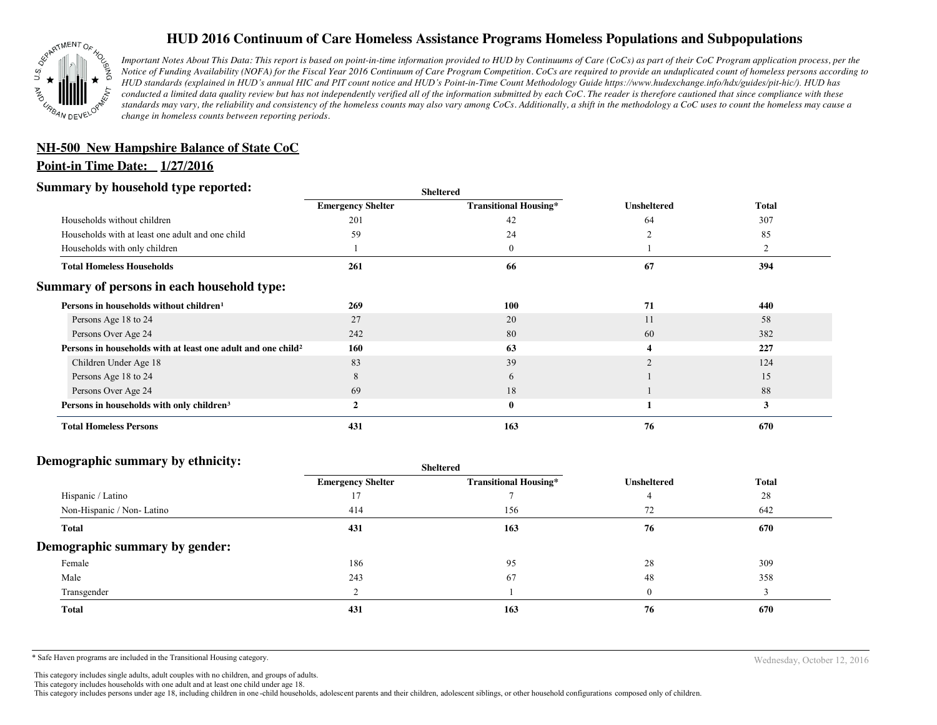

# **HUD 2016 Continuum of Care Homeless Assistance Programs Homeless Populations and Subpopulations**

*Important Notes About This Data: This report is based on point-in-time information provided to HUD by Continuums of Care (CoCs) as part of their CoC Program application process, per the Notice of Funding Availability (NOFA) for the Fiscal Year 2016 Continuum of Care Program Competition. CoCs are required to provide an unduplicated count of homeless persons according to HUD standards (explained in HUD's annual HIC and PIT count notice and HUD's Point-in-Time Count Methodology Guide https://www.hudexchange.info/hdx/guides/pit-hic/). HUD has conducted a limited data quality review but has not independently verified all of the information submitted by each CoC. The reader is therefore cautioned that since compliance with these*  standards may vary, the reliability and consistency of the homeless counts may also vary among CoCs. Additionally, a shift in the methodology a CoC uses to count the homeless may cause a *change in homeless counts between reporting periods.*

# **NH-500 New Hampshire Balance of State CoC**

## **Point-in Time Date: 1/27/2016**

## **Summary by household type reported:**

| эчнинагу бу почвеною туре герогіесі:                                     | <b>Sheltered</b>         |                              |                    |              |
|--------------------------------------------------------------------------|--------------------------|------------------------------|--------------------|--------------|
|                                                                          | <b>Emergency Shelter</b> | <b>Transitional Housing*</b> | <b>Unsheltered</b> | <b>Total</b> |
| Households without children                                              | 201                      | 42                           | 64                 | 307          |
| Households with at least one adult and one child                         | 59                       | 24                           |                    | 85           |
| Households with only children                                            |                          | $\mathbf{0}$                 |                    |              |
| <b>Total Homeless Households</b>                                         | 261                      | 66                           | 67                 | 394          |
| Summary of persons in each household type:                               |                          |                              |                    |              |
| Persons in households without children <sup>1</sup>                      | 269                      | 100                          | 71                 | 440          |
| Persons Age 18 to 24                                                     | 27                       | 20                           | 11                 | 58           |
| Persons Over Age 24                                                      | 242                      | 80                           | 60                 | 382          |
| Persons in households with at least one adult and one child <sup>2</sup> | 160                      | 63                           |                    | 227          |
| Children Under Age 18                                                    | 83                       | 39                           |                    | 124          |
| Persons Age 18 to 24                                                     | 8                        | 6                            |                    | 15           |
| Persons Over Age 24                                                      | 69                       | 18                           |                    | 88           |
| Persons in households with only children <sup>3</sup>                    | $\mathbf{2}$             | $\bf{0}$                     |                    | 3            |
| <b>Total Homeless Persons</b>                                            | 431                      | 163                          | 76                 | 670          |

#### **Demographic summary by ethnicity:**

|                                | Sheltered                |                              |                    |              |  |
|--------------------------------|--------------------------|------------------------------|--------------------|--------------|--|
|                                | <b>Emergency Shelter</b> | <b>Transitional Housing*</b> | <b>Unsheltered</b> | <b>Total</b> |  |
| Hispanic / Latino              |                          |                              |                    | 28           |  |
| Non-Hispanic / Non-Latino      | 414                      | 156                          | 72                 | 642          |  |
| <b>Total</b>                   | 431                      | 163                          | 76                 | 670          |  |
| Demographic summary by gender: |                          |                              |                    |              |  |
| Female                         | 186                      | 95                           | 28                 | 309          |  |
| Male                           | 243                      | 67                           | 48                 | 358          |  |
| Transgender                    |                          |                              |                    |              |  |
| <b>Total</b>                   | 431                      | 163                          | 76                 | 670          |  |
|                                |                          |                              |                    |              |  |

\* Safe Haven programs are included in the Transitional Housing category. Nechaster of the Transitional Housing category.

This category includes single adults, adult couples with no children, and groups of adults.

This category includes households with one adult and at least one child under age 18.

This category includes persons under age 18, including children in one -child households, adolescent parents and their children, adolescent siblings, or other household configurations composed only of children